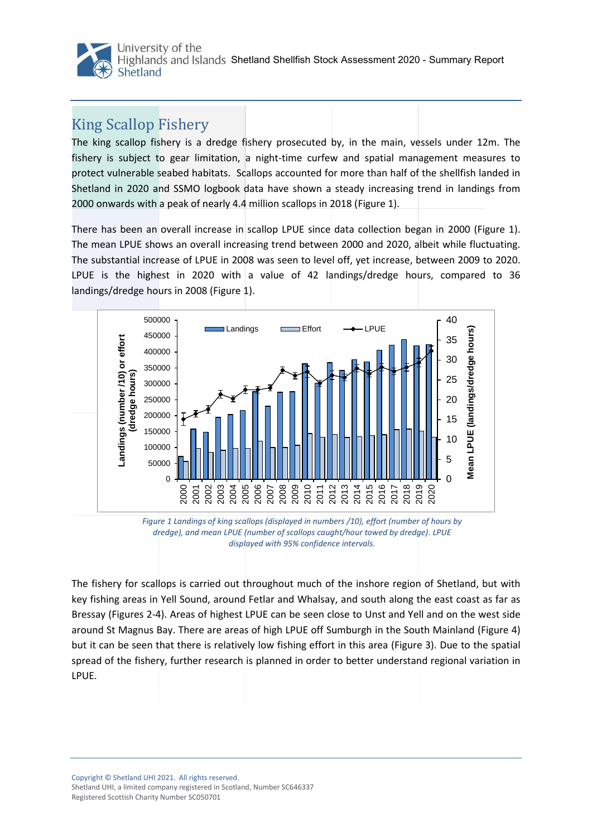

## King Scallop Fishery

The king scallop fishery is a dredge fishery prosecuted by, in the main, vessels under 12m. The fishery is subject to gear limitation, a night-time curfew and spatial management measures to protect vulnerable seabed habitats. Scallops accounted for more than half of the shellfish landed in Shetland in 2020 and SSMO logbook data have shown a steady increasing trend in landings from 2000 onwards with a peak of nearly 4.4 million scallops in 2018 [\(Figure 1](#page-0-0)).

There has been an overall increase in scallop LPUE since data collection began in 2000 [\(Figure 1](#page-0-0)). The mean LPUE shows an overall increasing trend between 2000 and 2020, albeit while fluctuating. The substantial increase of LPUE in 2008 was seen to level off, yet increase, between 2009 to 2020. LPUE is the highest in 2020 with a value of 42 landings/dredge hours, compared to 36 landings/dredge hours in 2008 (Figure 1).



<span id="page-0-0"></span>*Figure 1 Landings of king scallops (displayed in numbers /10), effort (number of hours by dredge), and mean LPUE (number of scallops caught/hour towed by dredge). LPUE displayed with 95% confidence intervals.*

The fishery for scallops is carried out throughout much of the inshore region of Shetland, but with key fishing areas in Yell Sound, around Fetlar and Whalsay, and south along the east coast as far as Bressay (Figures 2-4). Areas of highest LPUE can be seen close to Unst and Yell and on the west side around St Magnus Bay. There are areas of high LPUE off Sumburgh in the South Mainland [\(Figure](#page-1-0) 4) but it can be seen that there is relatively low fishing effort in this area (Figure 3). Due to the spatial spread of the fishery, further research is planned in order to better understand regional variation in LPUE.